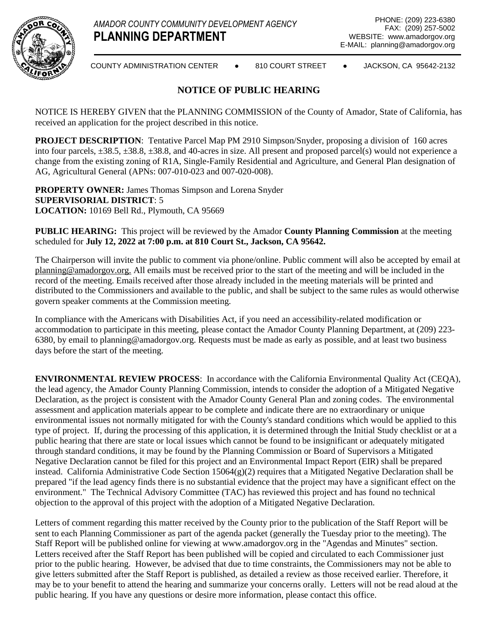

COUNTY ADMINISTRATION CENTER ● 810 COURT STREET ● JACKSON, CA 95642-2132

## **NOTICE OF PUBLIC HEARING**

NOTICE IS HEREBY GIVEN that the PLANNING COMMISSION of the County of Amador, State of California, has received an application for the project described in this notice.

**PROJECT DESCRIPTION**: Tentative Parcel Map PM 2910 Simpson/Snyder, proposing a division of 160 acres into four parcels, ±38.5, ±38.8, ±38.8, and 40-acres in size. All present and proposed parcel(s) would not experience a change from the existing zoning of R1A, Single-Family Residential and Agriculture, and General Plan designation of AG, Agricultural General (APNs: 007-010-023 and 007-020-008).

**PROPERTY OWNER:** James Thomas Simpson and Lorena Snyder **SUPERVISORIAL DISTRICT**: 5 **LOCATION:** 10169 Bell Rd., Plymouth, CA 95669

**PUBLIC HEARING:** This project will be reviewed by the Amador **County Planning Commission** at the meeting scheduled for **July 12, 2022 at 7:00 p.m. at 810 Court St., Jackson, CA 95642.**

The Chairperson will invite the public to comment via phone/online. Public comment will also be accepted by email at planning@amadorgov.org. All emails must be received prior to the start of the meeting and will be included in the record of the meeting. Emails received after those already included in the meeting materials will be printed and distributed to the Commissioners and available to the public, and shall be subject to the same rules as would otherwise govern speaker comments at the Commission meeting.

In compliance with the Americans with Disabilities Act, if you need an accessibility-related modification or accommodation to participate in this meeting, please contact the Amador County Planning Department, at (209) 223- 6380, by email to planning@amadorgov.org. Requests must be made as early as possible, and at least two business days before the start of the meeting.

**ENVIRONMENTAL REVIEW PROCESS**: In accordance with the California Environmental Quality Act (CEQA), the lead agency, the Amador County Planning Commission, intends to consider the adoption of a Mitigated Negative Declaration, as the project is consistent with the Amador County General Plan and zoning codes. The environmental assessment and application materials appear to be complete and indicate there are no extraordinary or unique environmental issues not normally mitigated for with the County's standard conditions which would be applied to this type of project. If, during the processing of this application, it is determined through the Initial Study checklist or at a public hearing that there are state or local issues which cannot be found to be insignificant or adequately mitigated through standard conditions, it may be found by the Planning Commission or Board of Supervisors a Mitigated Negative Declaration cannot be filed for this project and an Environmental Impact Report (EIR) shall be prepared instead. California Administrative Code Section 15064(g)(2) requires that a Mitigated Negative Declaration shall be prepared "if the lead agency finds there is no substantial evidence that the project may have a significant effect on the environment." The Technical Advisory Committee (TAC) has reviewed this project and has found no technical objection to the approval of this project with the adoption of a Mitigated Negative Declaration.

Letters of comment regarding this matter received by the County prior to the publication of the Staff Report will be sent to each Planning Commissioner as part of the agenda packet (generally the Tuesday prior to the meeting). The Staff Report will be published online for viewing at www.amadorgov.org in the "Agendas and Minutes" section. Letters received after the Staff Report has been published will be copied and circulated to each Commissioner just prior to the public hearing. However, be advised that due to time constraints, the Commissioners may not be able to give letters submitted after the Staff Report is published, as detailed a review as those received earlier. Therefore, it may be to your benefit to attend the hearing and summarize your concerns orally. Letters will not be read aloud at the public hearing. If you have any questions or desire more information, please contact this office.